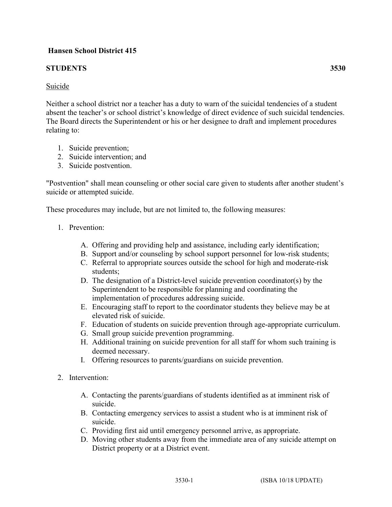## **Hansen School District 415**

## **STUDENTS 3530**

Neither a school district nor a teacher has a duty to warn of the suicidal tendencies of a student absent the teacher's or school district's knowledge of direct evidence of such suicidal tendencies. The Board directs the Superintendent or his or her designee to draft and implement procedures relating to:

- 1. Suicide prevention;
- 2. Suicide intervention; and
- 3. Suicide postvention.

"Postvention" shall mean counseling or other social care given to students after another student's suicide or attempted suicide.

These procedures may include, but are not limited to, the following measures:

- 1. Prevention:
	- A. Offering and providing help and assistance, including early identification;
	- B. Support and/or counseling by school support personnel for low-risk students;
	- C. Referral to appropriate sources outside the school for high and moderate-risk students;
	- D. The designation of a District-level suicide prevention coordinator(s) by the Superintendent to be responsible for planning and coordinating the implementation of procedures addressing suicide.
	- E. Encouraging staff to report to the coordinator students they believe may be at elevated risk of suicide.
	- F. Education of students on suicide prevention through age-appropriate curriculum.
	- G. Small group suicide prevention programming.
	- H. Additional training on suicide prevention for all staff for whom such training is deemed necessary.
	- I. Offering resources to parents/guardians on suicide prevention.
- 2. Intervention:
	- A. Contacting the parents/guardians of students identified as at imminent risk of suicide.
	- B. Contacting emergency services to assist a student who is at imminent risk of suicide.
	- C. Providing first aid until emergency personnel arrive, as appropriate.
	- D. Moving other students away from the immediate area of any suicide attempt on District property or at a District event.